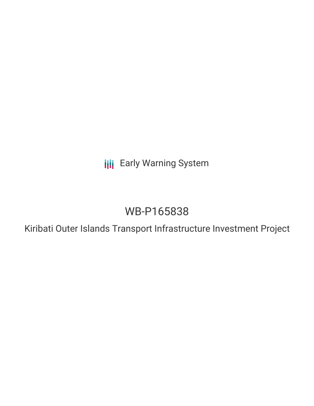**III** Early Warning System

# WB-P165838

Kiribati Outer Islands Transport Infrastructure Investment Project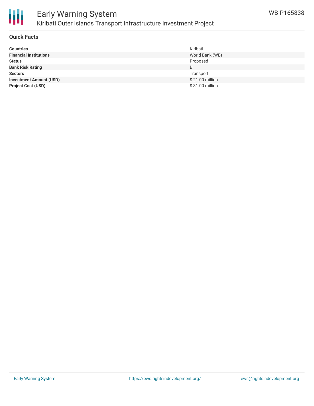

## **Quick Facts**

| <b>Countries</b>               | Kiribati        |
|--------------------------------|-----------------|
| <b>Financial Institutions</b>  | World Bank (WB) |
| <b>Status</b>                  | Proposed        |
| <b>Bank Risk Rating</b>        | B               |
| <b>Sectors</b>                 | Transport       |
| <b>Investment Amount (USD)</b> | \$21.00 million |
| <b>Project Cost (USD)</b>      | \$31.00 million |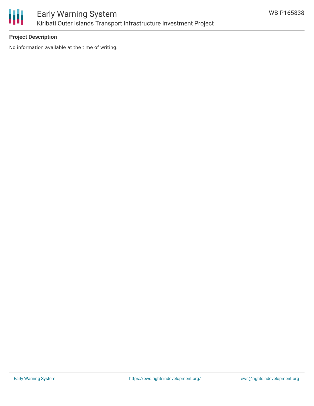

## **Project Description**

No information available at the time of writing.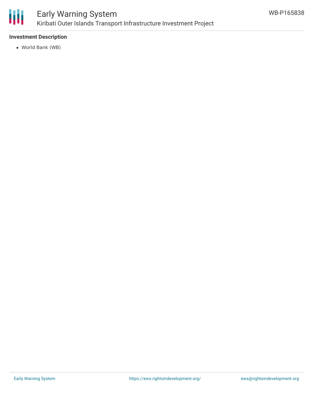

## **Investment Description**

World Bank (WB)